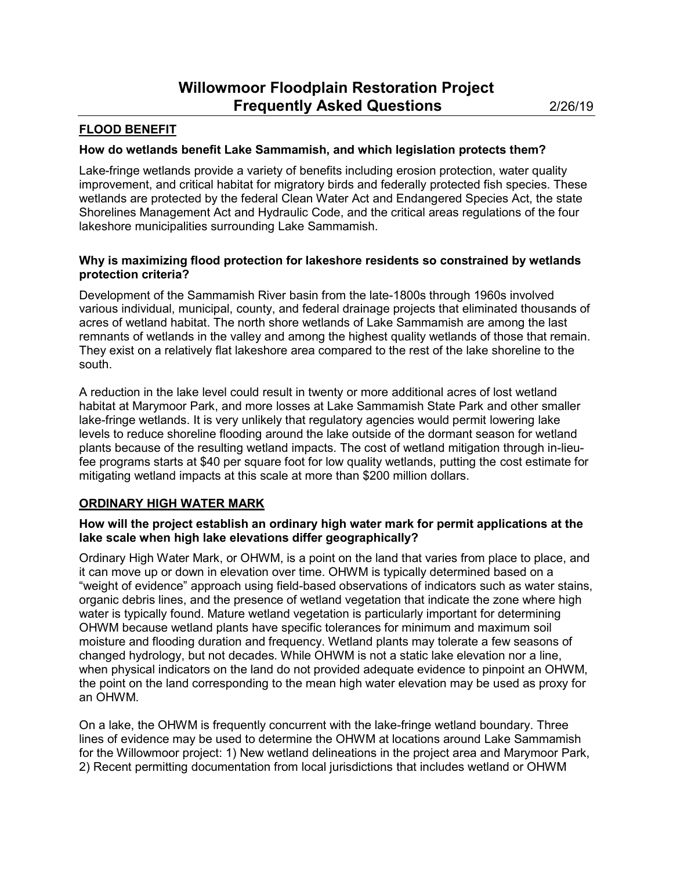# **FLOOD BENEFIT**

# **How do wetlands benefit Lake Sammamish, and which legislation protects them?**

Lake-fringe wetlands provide a variety of benefits including erosion protection, water quality improvement, and critical habitat for migratory birds and federally protected fish species. These wetlands are protected by the federal Clean Water Act and Endangered Species Act, the state Shorelines Management Act and Hydraulic Code, and the critical areas regulations of the four lakeshore municipalities surrounding Lake Sammamish.

## **Why is maximizing flood protection for lakeshore residents so constrained by wetlands protection criteria?**

Development of the Sammamish River basin from the late-1800s through 1960s involved various individual, municipal, county, and federal drainage projects that eliminated thousands of acres of wetland habitat. The north shore wetlands of Lake Sammamish are among the last remnants of wetlands in the valley and among the highest quality wetlands of those that remain. They exist on a relatively flat lakeshore area compared to the rest of the lake shoreline to the south.

A reduction in the lake level could result in twenty or more additional acres of lost wetland habitat at Marymoor Park, and more losses at Lake Sammamish State Park and other smaller lake-fringe wetlands. It is very unlikely that regulatory agencies would permit lowering lake levels to reduce shoreline flooding around the lake outside of the dormant season for wetland plants because of the resulting wetland impacts. The cost of wetland mitigation through in-lieufee programs starts at \$40 per square foot for low quality wetlands, putting the cost estimate for mitigating wetland impacts at this scale at more than \$200 million dollars.

# **ORDINARY HIGH WATER MARK**

## **How will the project establish an ordinary high water mark for permit applications at the lake scale when high lake elevations differ geographically?**

Ordinary High Water Mark, or OHWM, is a point on the land that varies from place to place, and it can move up or down in elevation over time. OHWM is typically determined based on a "weight of evidence" approach using field-based observations of indicators such as water stains, organic debris lines, and the presence of wetland vegetation that indicate the zone where high water is typically found. Mature wetland vegetation is particularly important for determining OHWM because wetland plants have specific tolerances for minimum and maximum soil moisture and flooding duration and frequency. Wetland plants may tolerate a few seasons of changed hydrology, but not decades. While OHWM is not a static lake elevation nor a line, when physical indicators on the land do not provided adequate evidence to pinpoint an OHWM, the point on the land corresponding to the mean high water elevation may be used as proxy for an OHWM.

On a lake, the OHWM is frequently concurrent with the lake-fringe wetland boundary. Three lines of evidence may be used to determine the OHWM at locations around Lake Sammamish for the Willowmoor project: 1) New wetland delineations in the project area and Marymoor Park, 2) Recent permitting documentation from local jurisdictions that includes wetland or OHWM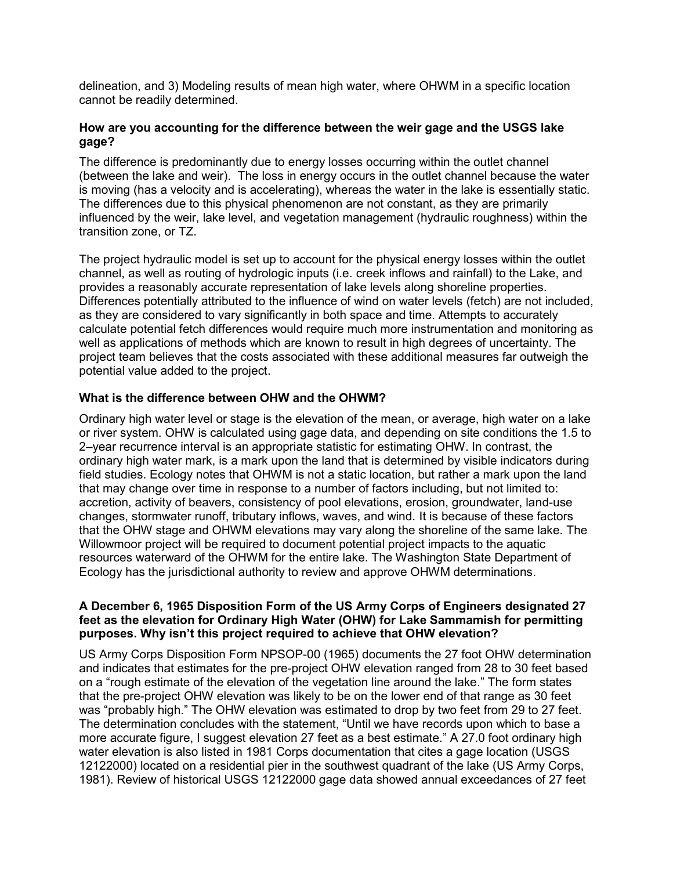delineation, and 3) Modeling results of mean high water, where OHWM in a specific location cannot be readily determined.

# **How are you accounting for the difference between the weir gage and the USGS lake gage?**

The difference is predominantly due to energy losses occurring within the outlet channel (between the lake and weir). The loss in energy occurs in the outlet channel because the water is moving (has a velocity and is accelerating), whereas the water in the lake is essentially static. The differences due to this physical phenomenon are not constant, as they are primarily influenced by the weir, lake level, and vegetation management (hydraulic roughness) within the transition zone, or TZ.

The project hydraulic model is set up to account for the physical energy losses within the outlet channel, as well as routing of hydrologic inputs (i.e. creek inflows and rainfall) to the Lake, and provides a reasonably accurate representation of lake levels along shoreline properties. Differences potentially attributed to the influence of wind on water levels (fetch) are not included, as they are considered to vary significantly in both space and time. Attempts to accurately calculate potential fetch differences would require much more instrumentation and monitoring as well as applications of methods which are known to result in high degrees of uncertainty. The project team believes that the costs associated with these additional measures far outweigh the potential value added to the project.

# **What is the difference between OHW and the OHWM?**

Ordinary high water level or stage is the elevation of the mean, or average, high water on a lake or river system. OHW is calculated using gage data, and depending on site conditions the 1.5 to 2–year recurrence interval is an appropriate statistic for estimating OHW. In contrast, the ordinary high water mark, is a mark upon the land that is determined by visible indicators during field studies. Ecology notes that OHWM is not a static location, but rather a mark upon the land that may change over time in response to a number of factors including, but not limited to: accretion, activity of beavers, consistency of pool elevations, erosion, groundwater, land-use changes, stormwater runoff, tributary inflows, waves, and wind. It is because of these factors that the OHW stage and OHWM elevations may vary along the shoreline of the same lake. The Willowmoor project will be required to document potential project impacts to the aquatic resources waterward of the OHWM for the entire lake. The Washington State Department of Ecology has the jurisdictional authority to review and approve OHWM determinations.

#### **A December 6, 1965 Disposition Form of the US Army Corps of Engineers designated 27 feet as the elevation for Ordinary High Water (OHW) for Lake Sammamish for permitting purposes. Why isn't this project required to achieve that OHW elevation?**

US Army Corps Disposition Form NPSOP-00 (1965) documents the 27 foot OHW determination and indicates that estimates for the pre-project OHW elevation ranged from 28 to 30 feet based on a "rough estimate of the elevation of the vegetation line around the lake." The form states that the pre-project OHW elevation was likely to be on the lower end of that range as 30 feet was "probably high." The OHW elevation was estimated to drop by two feet from 29 to 27 feet. The determination concludes with the statement, "Until we have records upon which to base a more accurate figure, I suggest elevation 27 feet as a best estimate." A 27.0 foot ordinary high water elevation is also listed in 1981 Corps documentation that cites a gage location (USGS 12122000) located on a residential pier in the southwest quadrant of the lake (US Army Corps, 1981). Review of historical USGS 12122000 gage data showed annual exceedances of 27 feet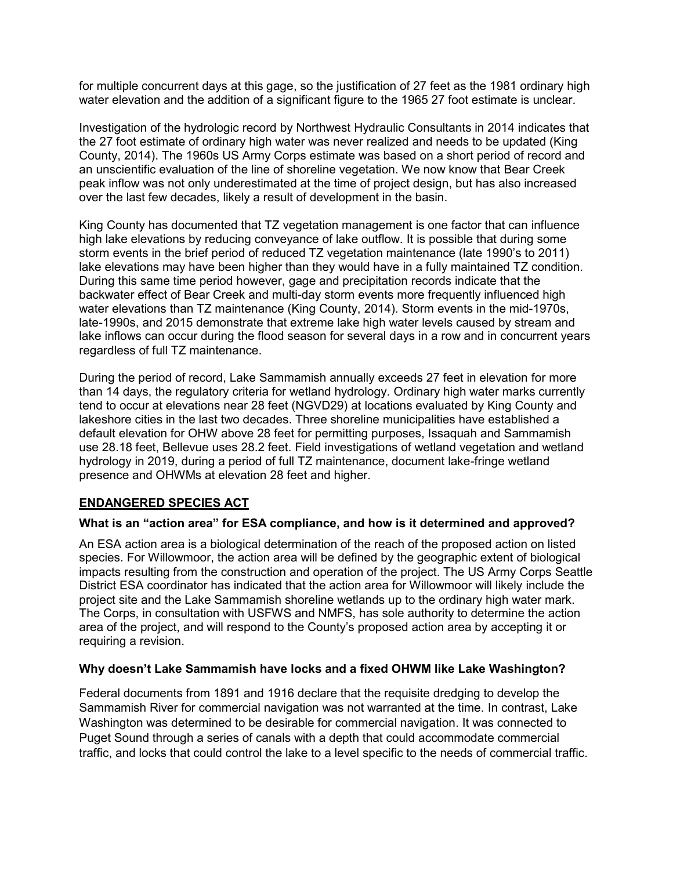for multiple concurrent days at this gage, so the justification of 27 feet as the 1981 ordinary high water elevation and the addition of a significant figure to the 1965 27 foot estimate is unclear.

Investigation of the hydrologic record by Northwest Hydraulic Consultants in 2014 indicates that the 27 foot estimate of ordinary high water was never realized and needs to be updated (King County, 2014). The 1960s US Army Corps estimate was based on a short period of record and an unscientific evaluation of the line of shoreline vegetation. We now know that Bear Creek peak inflow was not only underestimated at the time of project design, but has also increased over the last few decades, likely a result of development in the basin.

King County has documented that TZ vegetation management is one factor that can influence high lake elevations by reducing conveyance of lake outflow. It is possible that during some storm events in the brief period of reduced TZ vegetation maintenance (late 1990's to 2011) lake elevations may have been higher than they would have in a fully maintained TZ condition. During this same time period however, gage and precipitation records indicate that the backwater effect of Bear Creek and multi-day storm events more frequently influenced high water elevations than TZ maintenance (King County, 2014). Storm events in the mid-1970s, late-1990s, and 2015 demonstrate that extreme lake high water levels caused by stream and lake inflows can occur during the flood season for several days in a row and in concurrent years regardless of full TZ maintenance.

During the period of record, Lake Sammamish annually exceeds 27 feet in elevation for more than 14 days, the regulatory criteria for wetland hydrology. Ordinary high water marks currently tend to occur at elevations near 28 feet (NGVD29) at locations evaluated by King County and lakeshore cities in the last two decades. Three shoreline municipalities have established a default elevation for OHW above 28 feet for permitting purposes, Issaquah and Sammamish use 28.18 feet, Bellevue uses 28.2 feet. Field investigations of wetland vegetation and wetland hydrology in 2019, during a period of full TZ maintenance, document lake-fringe wetland presence and OHWMs at elevation 28 feet and higher.

# **ENDANGERED SPECIES ACT**

#### **What is an "action area" for ESA compliance, and how is it determined and approved?**

An ESA action area is a biological determination of the reach of the proposed action on listed species. For Willowmoor, the action area will be defined by the geographic extent of biological impacts resulting from the construction and operation of the project. The US Army Corps Seattle District ESA coordinator has indicated that the action area for Willowmoor will likely include the project site and the Lake Sammamish shoreline wetlands up to the ordinary high water mark. The Corps, in consultation with USFWS and NMFS, has sole authority to determine the action area of the project, and will respond to the County's proposed action area by accepting it or requiring a revision.

#### **Why doesn't Lake Sammamish have locks and a fixed OHWM like Lake Washington?**

Federal documents from 1891 and 1916 declare that the requisite dredging to develop the Sammamish River for commercial navigation was not warranted at the time. In contrast, Lake Washington was determined to be desirable for commercial navigation. It was connected to Puget Sound through a series of canals with a depth that could accommodate commercial traffic, and locks that could control the lake to a level specific to the needs of commercial traffic.